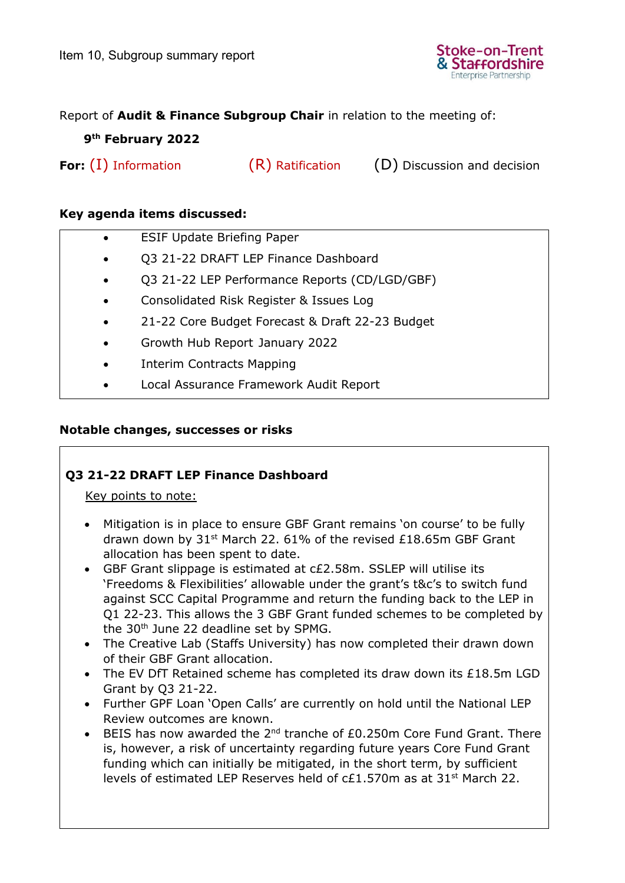

## Report of **Audit & Finance Subgroup Chair** in relation to the meeting of:

# **9 th February 2022**

**For:** (I) Information (R) Ratification (D) Discussion and decision

### **Key agenda items discussed:**

- ESIF Update Briefing Paper
- Q3 21-22 DRAFT LEP Finance Dashboard
- Q3 21-22 LEP Performance Reports (CD/LGD/GBF)
- Consolidated Risk Register & Issues Log
- 21-22 Core Budget Forecast & Draft 22-23 Budget
- Growth Hub Report January 2022
- Interim Contracts Mapping
- Local Assurance Framework Audit Report

## **Notable changes, successes or risks**

# **Q3 21-22 DRAFT LEP Finance Dashboard**

Key points to note:

- Mitigation is in place to ensure GBF Grant remains 'on course' to be fully drawn down by 31<sup>st</sup> March 22. 61% of the revised £18.65m GBF Grant allocation has been spent to date.
- GBF Grant slippage is estimated at c£2.58m. SSLEP will utilise its 'Freedoms & Flexibilities' allowable under the grant's t&c's to switch fund against SCC Capital Programme and return the funding back to the LEP in Q1 22-23. This allows the 3 GBF Grant funded schemes to be completed by the 30<sup>th</sup> June 22 deadline set by SPMG.
- The Creative Lab (Staffs University) has now completed their drawn down of their GBF Grant allocation.
- The EV DfT Retained scheme has completed its draw down its £18.5m LGD Grant by Q3 21-22.
- Further GPF Loan 'Open Calls' are currently on hold until the National LEP Review outcomes are known.
- BEIS has now awarded the  $2^{nd}$  tranche of £0.250m Core Fund Grant. There is, however, a risk of uncertainty regarding future years Core Fund Grant funding which can initially be mitigated, in the short term, by sufficient levels of estimated LEP Reserves held of  $cE1.570m$  as at 31<sup>st</sup> March 22.